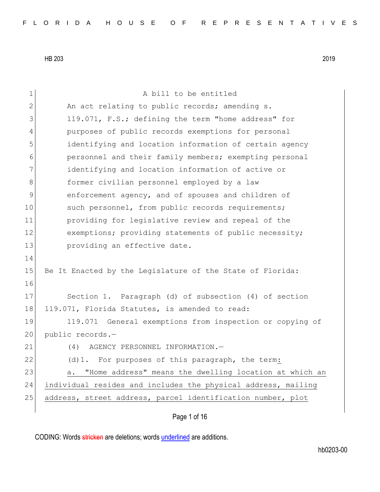| $\mathbf 1$    | A bill to be entitled                                         |
|----------------|---------------------------------------------------------------|
| $\mathbf{2}$   | An act relating to public records; amending s.                |
| 3              | 119.071, F.S.; defining the term "home address" for           |
| $\overline{4}$ | purposes of public records exemptions for personal            |
| 5              | identifying and location information of certain agency        |
| 6              | personnel and their family members; exempting personal        |
| 7              | identifying and location information of active or             |
| 8              | former civilian personnel employed by a law                   |
| 9              | enforcement agency, and of spouses and children of            |
| 10             | such personnel, from public records requirements;             |
| 11             | providing for legislative review and repeal of the            |
| 12             | exemptions; providing statements of public necessity;         |
| 13             | providing an effective date.                                  |
| 14             |                                                               |
| 15             | Be It Enacted by the Legislature of the State of Florida:     |
| 16             |                                                               |
| 17             | Section 1. Paragraph (d) of subsection (4) of section         |
| 18             | 119.071, Florida Statutes, is amended to read:                |
| 19             | 119.071 General exemptions from inspection or copying of      |
| 20             | public records.-                                              |
| 21             | AGENCY PERSONNEL INFORMATION.-<br>(4)                         |
| 22             | (d) 1. For purposes of this paragraph, the term:              |
| 23             | "Home address" means the dwelling location at which an<br>a.  |
| 24             | individual resides and includes the physical address, mailing |
| 25             | address, street address, parcel identification number, plot   |
|                |                                                               |

Page 1 of 16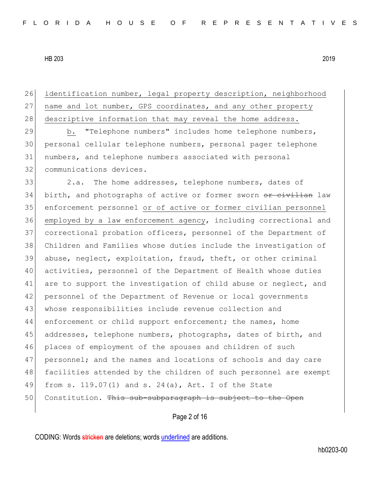| 26 | identification number, legal property description, neighborhood  |
|----|------------------------------------------------------------------|
| 27 | name and lot number, GPS coordinates, and any other property     |
| 28 | descriptive information that may reveal the home address.        |
| 29 | "Telephone numbers" includes home telephone numbers,<br>b.       |
| 30 | personal cellular telephone numbers, personal pager telephone    |
| 31 | numbers, and telephone numbers associated with personal          |
| 32 | communications devices.                                          |
| 33 | The home addresses, telephone numbers, dates of<br>2.a.          |
| 34 | birth, and photographs of active or former sworn or civilian law |
| 35 | enforcement personnel or of active or former civilian personnel  |
| 36 | employed by a law enforcement agency, including correctional and |
| 37 | correctional probation officers, personnel of the Department of  |
| 38 | Children and Families whose duties include the investigation of  |
| 39 | abuse, neglect, exploitation, fraud, theft, or other criminal    |
| 40 | activities, personnel of the Department of Health whose duties   |
| 41 | are to support the investigation of child abuse or neglect, and  |
| 42 | personnel of the Department of Revenue or local governments      |
| 43 | whose responsibilities include revenue collection and            |
| 44 | enforcement or child support enforcement; the names, home        |
| 45 | addresses, telephone numbers, photographs, dates of birth, and   |
| 46 | places of employment of the spouses and children of such         |
| 47 | personnel; and the names and locations of schools and day care   |
| 48 | facilities attended by the children of such personnel are exempt |
| 49 | from s. $119.07(1)$ and s. $24(a)$ , Art. I of the State         |
| 50 | Constitution. This sub-subparagraph is subject to the Open       |
|    |                                                                  |

Page 2 of 16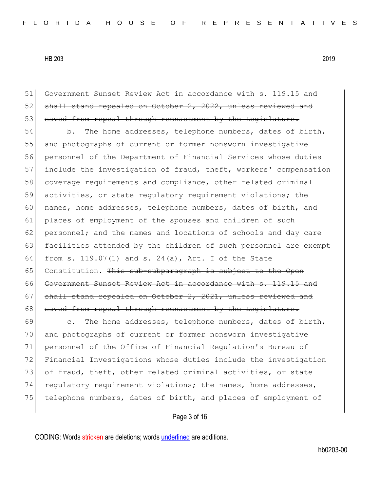51 Government Sunset Review Act in accordance with s. 119.15 and 52 shall stand repealed on October 2, 2022, unless reviewed and 53 saved from repeal through reenactment by the Legislature. 54 b. The home addresses, telephone numbers, dates of birth, 55 and photographs of current or former nonsworn investigative 56 personnel of the Department of Financial Services whose duties 57 include the investigation of fraud, theft, workers' compensation 58 coverage requirements and compliance, other related criminal 59 activities, or state regulatory requirement violations; the 60 names, home addresses, telephone numbers, dates of birth, and 61 places of employment of the spouses and children of such 62 personnel; and the names and locations of schools and day care 63 facilities attended by the children of such personnel are exempt 64 from s. 119.07(1) and s. 24(a), Art. I of the State 65 Constitution. This sub-subparagraph is subject to the Open 66 Government Sunset Review Act in accordance with s. 119.15 and 67 shall stand repealed on October 2, 2021, unless reviewed and 68 saved from repeal through reenactment by the Legislature. 69 c. The home addresses, telephone numbers, dates of birth, 70 and photographs of current or former nonsworn investigative 71 personnel of the Office of Financial Regulation's Bureau of 72 Financial Investigations whose duties include the investigation 73 of fraud, theft, other related criminal activities, or state 74 regulatory requirement violations; the names, home addresses, 75 telephone numbers, dates of birth, and places of employment of

Page 3 of 16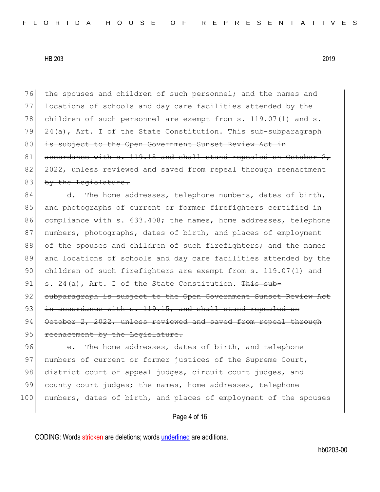76 the spouses and children of such personnel; and the names and 77 locations of schools and day care facilities attended by the 78 children of such personnel are exempt from s. 119.07(1) and s. 79 24(a), Art. I of the State Constitution. This sub-subparagraph 80 is subject to the Open Government Sunset Review Act in 81 accordance with s. 119.15 and shall stand repealed on October 82 <del>2022, unless reviewed and saved from repeal through reenactment</del> 83 by the Legislature.

84 d. The home addresses, telephone numbers, dates of birth, 85 and photographs of current or former firefighters certified in 86 compliance with s. 633.408; the names, home addresses, telephone 87 | numbers, photographs, dates of birth, and places of employment 88 of the spouses and children of such firefighters; and the names 89 and locations of schools and day care facilities attended by the 90 children of such firefighters are exempt from s. 119.07(1) and 91 s. 24(a), Art. I of the State Constitution. This sub-92 subparagraph is subject to the Open Government Sunset Review Act 93  $\pm$ n accordance with s. 119.15, and shall stand repealed on 94 October 2, 2022, unless reviewed and saved from repeal through 95 reenactment by the Legislature.

96 e. The home addresses, dates of birth, and telephone 97 | numbers of current or former justices of the Supreme Court, 98 district court of appeal judges, circuit court judges, and 99 county court judges; the names, home addresses, telephone 100 numbers, dates of birth, and places of employment of the spouses

Page 4 of 16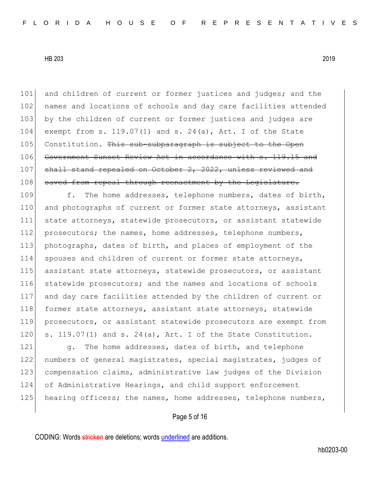101 and children of current or former justices and judges; and the 102 names and locations of schools and day care facilities attended 103 by the children of current or former justices and judges are 104 exempt from s. 119.07(1) and s. 24(a), Art. I of the State 105 Constitution. This sub-subparagraph is subject to the Open 106 Government Sunset Review Act in accordance with s. 119.15 and 107 shall stand repealed on October 2, 2022, unless reviewed and 108 saved from repeal through reenactment by the Legislature.

109 f. The home addresses, telephone numbers, dates of birth, 110 and photographs of current or former state attorneys, assistant 111 state attorneys, statewide prosecutors, or assistant statewide 112 prosecutors; the names, home addresses, telephone numbers, 113 photographs, dates of birth, and places of employment of the 114 spouses and children of current or former state attorneys, 115 assistant state attorneys, statewide prosecutors, or assistant 116 statewide prosecutors; and the names and locations of schools 117 and day care facilities attended by the children of current or 118 former state attorneys, assistant state attorneys, statewide 119 prosecutors, or assistant statewide prosecutors are exempt from 120  $\vert$  s. 119.07(1) and s. 24(a), Art. I of the State Constitution.

121 g. The home addresses, dates of birth, and telephone 122 numbers of general magistrates, special magistrates, judges of 123 compensation claims, administrative law judges of the Division 124 of Administrative Hearings, and child support enforcement 125 hearing officers; the names, home addresses, telephone numbers,

### Page 5 of 16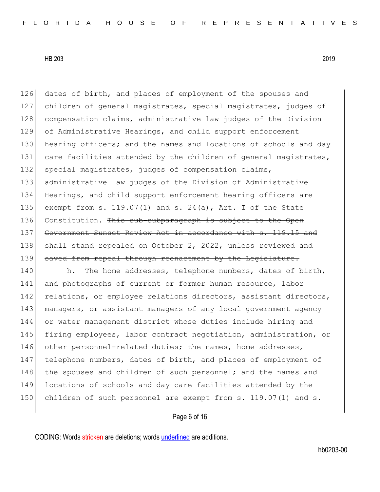126 dates of birth, and places of employment of the spouses and 127 children of general magistrates, special magistrates, judges of 128 compensation claims, administrative law judges of the Division 129 of Administrative Hearings, and child support enforcement 130 hearing officers; and the names and locations of schools and day 131 care facilities attended by the children of general magistrates, 132 special magistrates, judges of compensation claims, 133 administrative law judges of the Division of Administrative 134 Hearings, and child support enforcement hearing officers are 135 exempt from s. 119.07(1) and s. 24(a), Art. I of the State 136 Constitution. This sub-subparagraph is subject to the Open 137 Government Sunset Review Act in accordance with s. 119.15 and 138 shall stand repealed on October 2, 2022, unless reviewed and 139 saved from repeal through reenactment by the Legislature.

140 h. The home addresses, telephone numbers, dates of birth, 141 and photographs of current or former human resource, labor 142 relations, or employee relations directors, assistant directors, 143 managers, or assistant managers of any local government agency 144 or water management district whose duties include hiring and 145 firing employees, labor contract negotiation, administration, or 146 other personnel-related duties; the names, home addresses, 147 telephone numbers, dates of birth, and places of employment of 148 the spouses and children of such personnel; and the names and 149 locations of schools and day care facilities attended by the 150 children of such personnel are exempt from s. 119.07(1) and s.

Page 6 of 16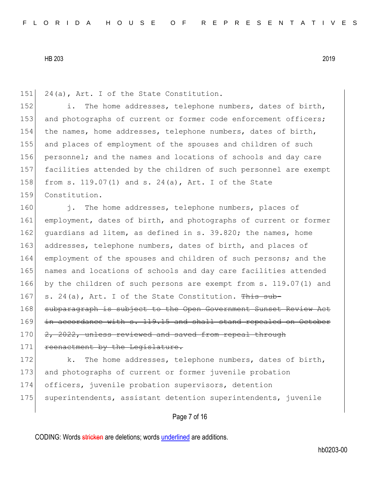151 24(a), Art. I of the State Constitution.

152 i. The home addresses, telephone numbers, dates of birth, 153 and photographs of current or former code enforcement officers; 154 the names, home addresses, telephone numbers, dates of birth, 155 and places of employment of the spouses and children of such 156 personnel; and the names and locations of schools and day care 157 facilities attended by the children of such personnel are exempt 158 from s. 119.07(1) and s. 24(a), Art. I of the State 159 Constitution.

160 i. The home addresses, telephone numbers, places of 161 employment, dates of birth, and photographs of current or former 162 quardians ad litem, as defined in s. 39.820; the names, home 163 addresses, telephone numbers, dates of birth, and places of 164 employment of the spouses and children of such persons; and the 165 names and locations of schools and day care facilities attended 166 by the children of such persons are exempt from s. 119.07(1) and 167 s. 24(a), Art. I of the State Constitution. This sub-168 subparagraph is subject to the Open Government Sunset Review Act 169 in accordance with s. 119.15 and shall stand repealed on October 170 2, 2022, unless reviewed and saved from repeal through 171 reenactment by the Legislature.

172 k. The home addresses, telephone numbers, dates of birth, 173 and photographs of current or former juvenile probation 174 officers, juvenile probation supervisors, detention 175 superintendents, assistant detention superintendents, juvenile

Page 7 of 16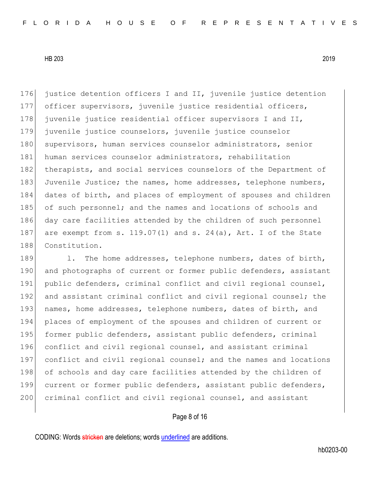176 justice detention officers I and II, juvenile justice detention 177 officer supervisors, juvenile justice residential officers, 178 juvenile justice residential officer supervisors I and II, 179 juvenile justice counselors, juvenile justice counselor 180 supervisors, human services counselor administrators, senior 181 human services counselor administrators, rehabilitation 182 therapists, and social services counselors of the Department of 183 Juvenile Justice; the names, home addresses, telephone numbers, 184 dates of birth, and places of employment of spouses and children 185 of such personnel; and the names and locations of schools and 186 day care facilities attended by the children of such personnel 187 are exempt from s.  $119.07(1)$  and s.  $24(a)$ , Art. I of the State 188 Constitution.

189 1. The home addresses, telephone numbers, dates of birth, 190 and photographs of current or former public defenders, assistant 191 public defenders, criminal conflict and civil regional counsel, 192 and assistant criminal conflict and civil regional counsel; the 193 names, home addresses, telephone numbers, dates of birth, and 194 places of employment of the spouses and children of current or 195 former public defenders, assistant public defenders, criminal 196 conflict and civil regional counsel, and assistant criminal 197 conflict and civil regional counsel; and the names and locations 198 of schools and day care facilities attended by the children of 199 current or former public defenders, assistant public defenders, 200 criminal conflict and civil regional counsel, and assistant

Page 8 of 16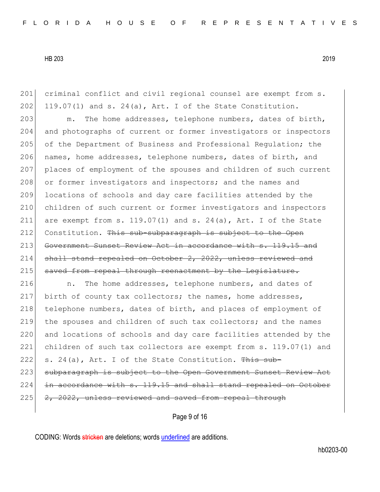201 criminal conflict and civil regional counsel are exempt from s.  $202$  119.07(1) and s. 24(a), Art. I of the State Constitution. 203 m. The home addresses, telephone numbers, dates of birth, 204 and photographs of current or former investigators or inspectors 205 of the Department of Business and Professional Requlation; the 206 names, home addresses, telephone numbers, dates of birth, and 207 places of employment of the spouses and children of such current 208 or former investigators and inspectors; and the names and 209 locations of schools and day care facilities attended by the 210 children of such current or former investigators and inspectors 211 are exempt from s.  $119.07(1)$  and s.  $24(a)$ , Art. I of the State 212 Constitution. This sub-subparagraph is subject to the Open 213 Government Sunset Review Act in accordance with s. 119.15 and 214 shall stand repealed on October 2, 2022, unless reviewed and 215 saved from repeal through reenactment by the Legislature. 216 **n.** The home addresses, telephone numbers, and dates of 217 birth of county tax collectors; the names, home addresses,

218 telephone numbers, dates of birth, and places of employment of 219 the spouses and children of such tax collectors; and the names 220 and locations of schools and day care facilities attended by the 221 children of such tax collectors are exempt from s. 119.07(1) and 222 s. 24(a), Art. I of the State Constitution.  $\frac{m}{s}$  sub-223 subparagraph is subject to the Open Government Sunset Review Act  $224$  in accordance with s. 119.15 and shall stand repealed on October 225 2, 2022, unless reviewed and saved from repeal through

Page 9 of 16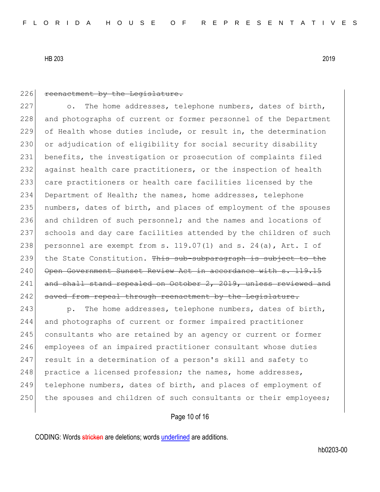# 226 reenactment by the Legislature. 227 o. The home addresses, telephone numbers, dates of birth, 228 and photographs of current or former personnel of the Department 229 of Health whose duties include, or result in, the determination 230 or adjudication of eligibility for social security disability 231 benefits, the investigation or prosecution of complaints filed 232 against health care practitioners, or the inspection of health 233 care practitioners or health care facilities licensed by the 234 Department of Health; the names, home addresses, telephone 235 numbers, dates of birth, and places of employment of the spouses 236 and children of such personnel; and the names and locations of 237 schools and day care facilities attended by the children of such 238 personnel are exempt from s.  $119.07(1)$  and s.  $24(a)$ , Art. I of 239 the State Constitution. This sub-subparagraph is subject to the 240 Open Government Sunset Review Act in accordance with s. 119.15 241 and shall stand repealed on October 2, 2019, unless reviewed and 242 saved from repeal through reenactment by the Legislature. 243 p. The home addresses, telephone numbers, dates of birth, 244 and photographs of current or former impaired practitioner 245 consultants who are retained by an agency or current or former 246 employees of an impaired practitioner consultant whose duties 247 result in a determination of a person's skill and safety to 248 practice a licensed profession; the names, home addresses, 249 telephone numbers, dates of birth, and places of employment of 250 the spouses and children of such consultants or their employees;

### Page 10 of 16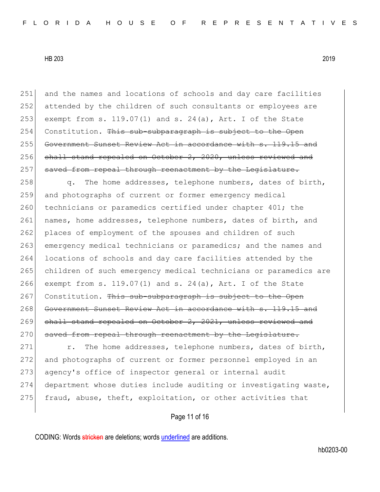251 and the names and locations of schools and day care facilities 252 attended by the children of such consultants or employees are 253 exempt from s. 119.07(1) and s. 24(a), Art. I of the State 254 Constitution. This sub-subparagraph is subject to the Open 255 Government Sunset Review Act in accordance with s. 119.15 and 256 shall stand repealed on October 2, 2020, unless reviewed and 257 saved from repeal through reenactment by the Legislature.

258 q. The home addresses, telephone numbers, dates of birth, 259 and photographs of current or former emergency medical 260 technicians or paramedics certified under chapter 401; the 261 names, home addresses, telephone numbers, dates of birth, and 262 places of employment of the spouses and children of such 263 emergency medical technicians or paramedics; and the names and 264 locations of schools and day care facilities attended by the 265 children of such emergency medical technicians or paramedics are 266 exempt from s. 119.07(1) and s. 24(a), Art. I of the State 267 Constitution. This sub-subparagraph is subject to the Open 268 Government Sunset Review Act in accordance with s. 119.15 and 269 shall stand repealed on October 2, 2021, unless reviewed and 270 saved from repeal through reenactment by the Legislature.

271 r. The home addresses, telephone numbers, dates of birth, 272 and photographs of current or former personnel employed in an 273 agency's office of inspector general or internal audit 274 department whose duties include auditing or investigating waste, 275 fraud, abuse, theft, exploitation, or other activities that

Page 11 of 16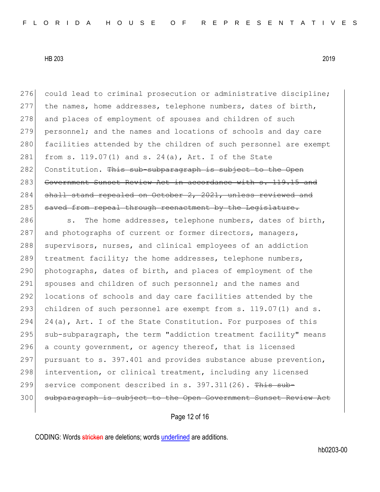276 could lead to criminal prosecution or administrative discipline; 277 the names, home addresses, telephone numbers, dates of birth, 278 and places of employment of spouses and children of such 279 personnel; and the names and locations of schools and day care 280 facilities attended by the children of such personnel are exempt 281 from s. 119.07(1) and s. 24(a), Art. I of the State 282 Constitution. This sub-subparagraph is subject to the Open 283 Government Sunset Review Act in accordance with s. 119.15 and 284 shall stand repealed on October 2, 2021, unless reviewed and 285 saved from repeal through reenactment by the Legislature.

286 s. The home addresses, telephone numbers, dates of birth, 287 and photographs of current or former directors, managers, 288 supervisors, nurses, and clinical employees of an addiction 289 treatment facility; the home addresses, telephone numbers, 290 photographs, dates of birth, and places of employment of the 291 spouses and children of such personnel; and the names and 292 locations of schools and day care facilities attended by the 293 children of such personnel are exempt from s. 119.07(1) and s. 294 24(a), Art. I of the State Constitution. For purposes of this 295 sub-subparagraph, the term "addiction treatment facility" means 296 a county government, or agency thereof, that is licensed 297 pursuant to s. 397.401 and provides substance abuse prevention, 298 intervention, or clinical treatment, including any licensed 299 service component described in s. 397.311(26). This sub-300 subparagraph is subject to the Open Government Sunset Review Act

Page 12 of 16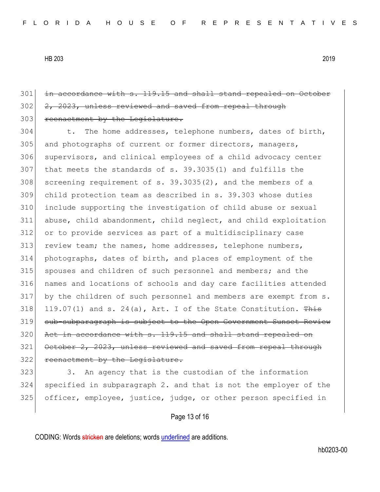## 301 in accordance with s. 119.15 and shall stand repealed on October 302 2, 2023, unless reviewed and saved from repeal through 303 reenactment by the Legislature.

304 t. The home addresses, telephone numbers, dates of birth, 305 and photographs of current or former directors, managers, 306 supervisors, and clinical employees of a child advocacy center 307 that meets the standards of s. 39.3035(1) and fulfills the 308 screening requirement of s.  $39.3035(2)$ , and the members of a 309 child protection team as described in s. 39.303 whose duties 310 include supporting the investigation of child abuse or sexual 311 abuse, child abandonment, child neglect, and child exploitation 312 or to provide services as part of a multidisciplinary case 313 review team; the names, home addresses, telephone numbers, 314 photographs, dates of birth, and places of employment of the 315 spouses and children of such personnel and members; and the 316 names and locations of schools and day care facilities attended 317 by the children of such personnel and members are exempt from s. 318 119.07(1) and s. 24(a), Art. I of the State Constitution.  $\frac{m}{100}$ 319 sub-subparagraph is subject to the Open Government Sunset Review  $320$  Act in accordance with s.  $119.15$  and shall stand repealed on 321 October 2, 2023, unless reviewed and saved from repeal through 322 reenactment by the Legislature.

323 3. An agency that is the custodian of the information 324 specified in subparagraph 2. and that is not the employer of the 325 officer, employee, justice, judge, or other person specified in

### Page 13 of 16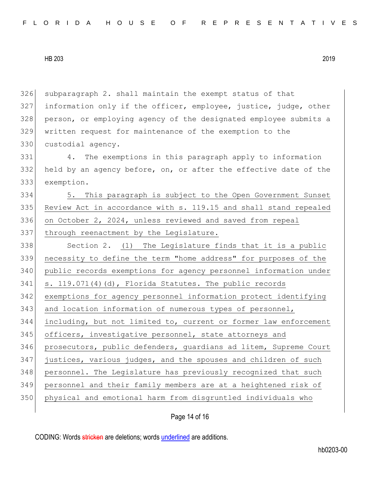subparagraph 2. shall maintain the exempt status of that information only if the officer, employee, justice, judge, other person, or employing agency of the designated employee submits a written request for maintenance of the exemption to the 330 custodial agency.

331 4. The exemptions in this paragraph apply to information 332 held by an agency before, on, or after the effective date of the 333 exemption.

334 5. This paragraph is subject to the Open Government Sunset 335 Review Act in accordance with s. 119.15 and shall stand repealed 336 on October 2, 2024, unless reviewed and saved from repeal 337 through reenactment by the Legislature.

338 Section 2. (1) The Legislature finds that it is a public necessity to define the term "home address" for purposes of the public records exemptions for agency personnel information under s. 119.071(4)(d), Florida Statutes. The public records exemptions for agency personnel information protect identifying 343 and location information of numerous types of personnel, including, but not limited to, current or former law enforcement 345 officers, investigative personnel, state attorneys and prosecutors, public defenders, guardians ad litem, Supreme Court justices, various judges, and the spouses and children of such 348 personnel. The Legislature has previously recognized that such personnel and their family members are at a heightened risk of physical and emotional harm from disgruntled individuals who

Page 14 of 16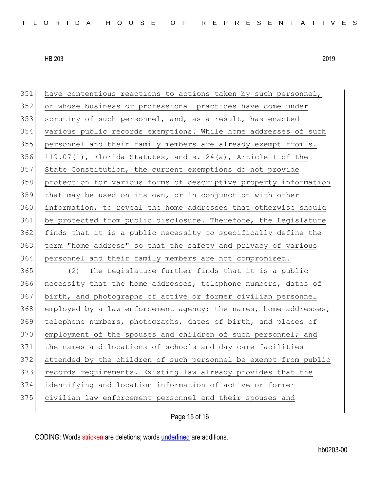| 351 | have contentious reactions to actions taken by such personnel,   |
|-----|------------------------------------------------------------------|
| 352 | or whose business or professional practices have come under      |
| 353 | scrutiny of such personnel, and, as a result, has enacted        |
| 354 | various public records exemptions. While home addresses of such  |
| 355 | personnel and their family members are already exempt from s.    |
| 356 | 119.07(1), Florida Statutes, and s. 24(a), Article I of the      |
| 357 | State Constitution, the current exemptions do not provide        |
| 358 | protection for various forms of descriptive property information |
| 359 | that may be used on its own, or in conjunction with other        |
| 360 | information, to reveal the home addresses that otherwise should  |
| 361 | be protected from public disclosure. Therefore, the Legislature  |
| 362 | finds that it is a public necessity to specifically define the   |
| 363 | term "home address" so that the safety and privacy of various    |
| 364 | personnel and their family members are not compromised.          |
| 365 | (2)<br>The Legislature further finds that it is a public         |
| 366 | necessity that the home addresses, telephone numbers, dates of   |
| 367 | birth, and photographs of active or former civilian personnel    |
| 368 | employed by a law enforcement agency; the names, home addresses, |
| 369 | telephone numbers, photographs, dates of birth, and places of    |
| 370 | employment of the spouses and children of such personnel; and    |
| 371 | the names and locations of schools and day care facilities       |
| 372 | attended by the children of such personnel be exempt from public |
| 373 | records requirements. Existing law already provides that the     |
| 374 | identifying and location information of active or former         |
| 375 | civilian law enforcement personnel and their spouses and         |
|     |                                                                  |

Page 15 of 16